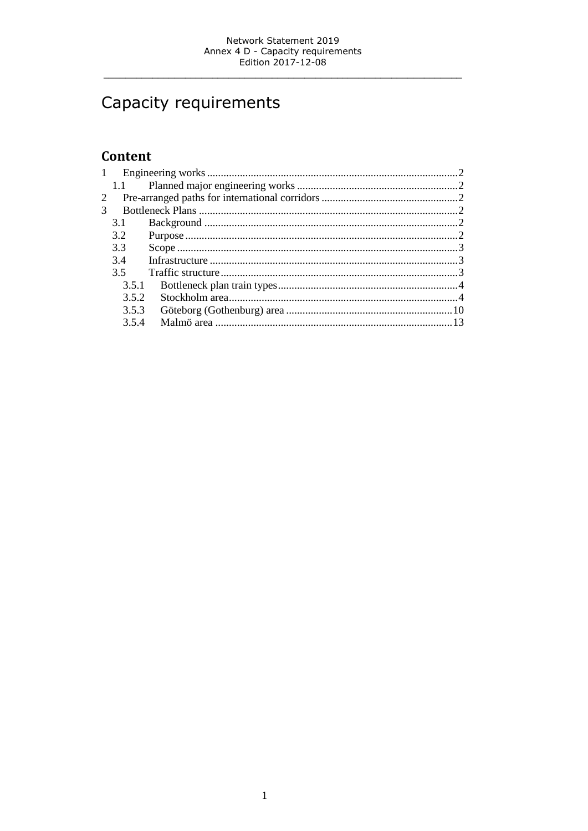# Capacity requirements

# Content

|   | 1.1   |  |  |  |
|---|-------|--|--|--|
| 2 |       |  |  |  |
|   |       |  |  |  |
|   | 3.1   |  |  |  |
|   | 3.2   |  |  |  |
|   | 3.3   |  |  |  |
|   | 34    |  |  |  |
|   | 3.5   |  |  |  |
|   | 3.5.1 |  |  |  |
|   | 3.5.2 |  |  |  |
|   | 3.5.3 |  |  |  |
|   | 354   |  |  |  |
|   |       |  |  |  |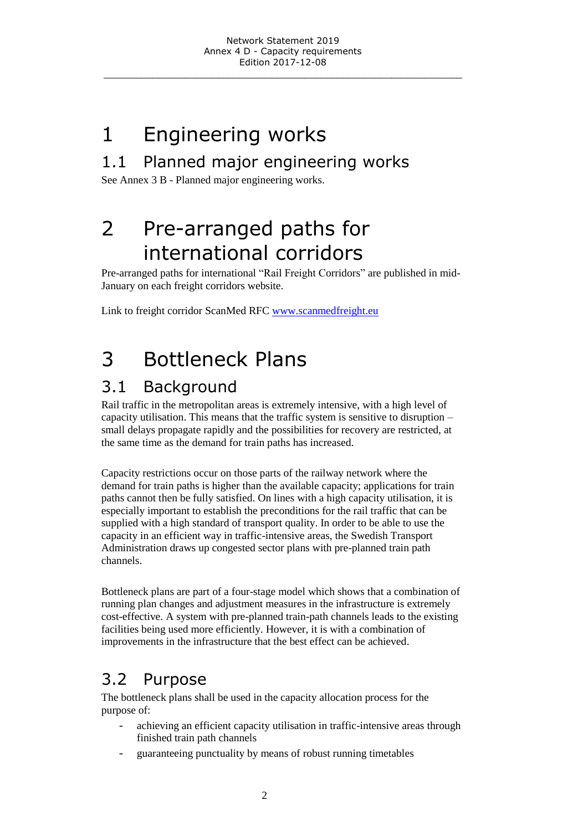# <span id="page-1-0"></span>1 Engineering works

# <span id="page-1-1"></span>1.1 Planned major engineering works

<span id="page-1-2"></span>See Annex 3 B - Planned major engineering works.

# 2 Pre-arranged paths for international corridors

Pre-arranged paths for international "Rail Freight Corridors" are published in mid-January on each freight corridors website.

<span id="page-1-3"></span>Link to freight corridor ScanMed RFC [www.scanmedfreight.eu](http://www.scanmedfreight.eu/)

# 3 Bottleneck Plans

# <span id="page-1-4"></span>3.1 Background

Rail traffic in the metropolitan areas is extremely intensive, with a high level of capacity utilisation. This means that the traffic system is sensitive to disruption – small delays propagate rapidly and the possibilities for recovery are restricted, at the same time as the demand for train paths has increased.

Capacity restrictions occur on those parts of the railway network where the demand for train paths is higher than the available capacity; applications for train paths cannot then be fully satisfied. On lines with a high capacity utilisation, it is especially important to establish the preconditions for the rail traffic that can be supplied with a high standard of transport quality. In order to be able to use the capacity in an efficient way in traffic-intensive areas, the Swedish Transport Administration draws up congested sector plans with pre-planned train path channels.

Bottleneck plans are part of a four-stage model which shows that a combination of running plan changes and adjustment measures in the infrastructure is extremely cost-effective. A system with pre-planned train-path channels leads to the existing facilities being used more efficiently. However, it is with a combination of improvements in the infrastructure that the best effect can be achieved.

# <span id="page-1-5"></span>3.2 Purpose

The bottleneck plans shall be used in the capacity allocation process for the purpose of:

- achieving an efficient capacity utilisation in traffic-intensive areas through finished train path channels
- guaranteeing punctuality by means of robust running timetables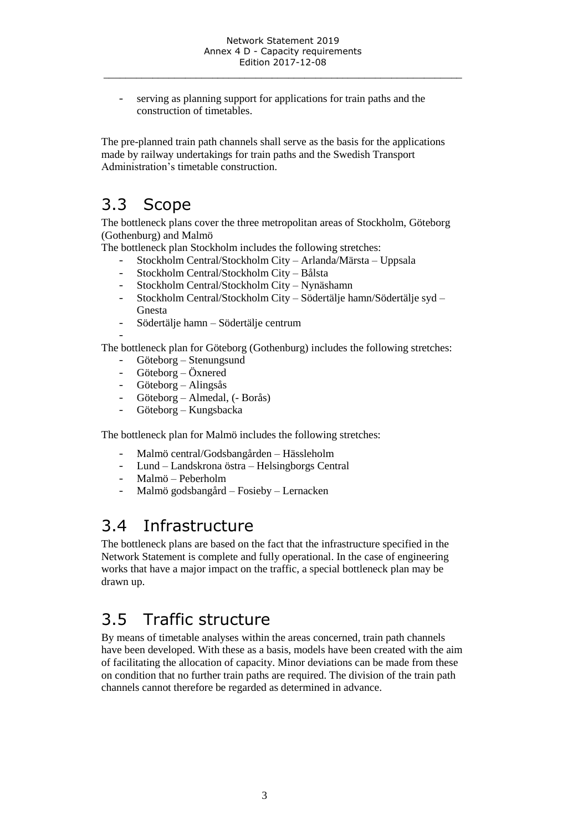serving as planning support for applications for train paths and the construction of timetables.

The pre-planned train path channels shall serve as the basis for the applications made by railway undertakings for train paths and the Swedish Transport Administration's timetable construction.

# <span id="page-2-0"></span>3.3 Scope

The bottleneck plans cover the three metropolitan areas of Stockholm, Göteborg (Gothenburg) and Malmö

The bottleneck plan Stockholm includes the following stretches:

- Stockholm Central/Stockholm City Arlanda/Märsta Uppsala
- Stockholm Central/Stockholm City Bålsta
- Stockholm Central/Stockholm City Nynäshamn
- Stockholm Central/Stockholm City Södertälje hamn/Södertälje syd Gnesta
- Södertälje hamn Södertälje centrum

-

The bottleneck plan for Göteborg (Gothenburg) includes the following stretches:

- Göteborg Stenungsund
- Göteborg Öxnered
- Göteborg Alingsås
- Göteborg Almedal, (- Borås)
- Göteborg Kungsbacka

The bottleneck plan for Malmö includes the following stretches:

- Malmö central/Godsbangården Hässleholm
- Lund Landskrona östra Helsingborgs Central
- Malmö Peberholm
- Malmö godsbangård Fosieby Lernacken

# <span id="page-2-1"></span>3.4 Infrastructure

The bottleneck plans are based on the fact that the infrastructure specified in the Network Statement is complete and fully operational. In the case of engineering works that have a major impact on the traffic, a special bottleneck plan may be drawn up.

# <span id="page-2-2"></span>3.5 Traffic structure

By means of timetable analyses within the areas concerned, train path channels have been developed. With these as a basis, models have been created with the aim of facilitating the allocation of capacity. Minor deviations can be made from these on condition that no further train paths are required. The division of the train path channels cannot therefore be regarded as determined in advance.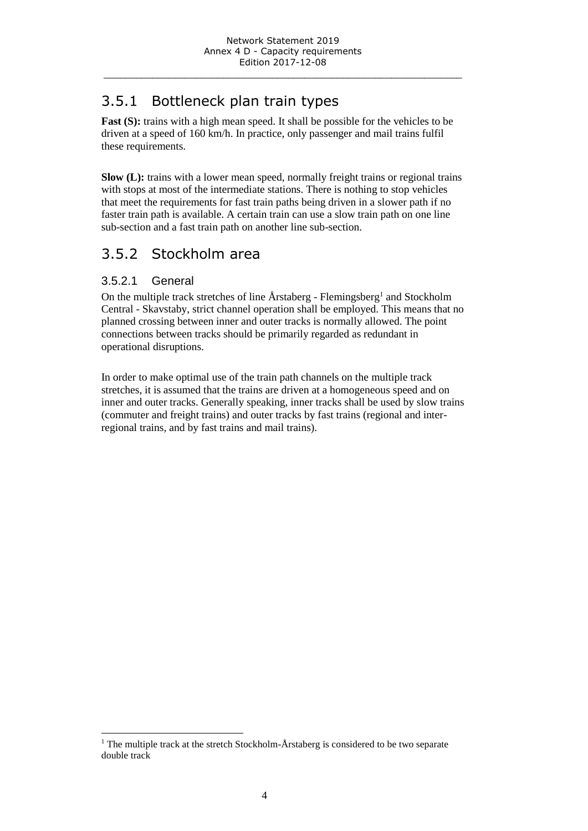# <span id="page-3-0"></span>3.5.1 Bottleneck plan train types

**Fast (S):** trains with a high mean speed. It shall be possible for the vehicles to be driven at a speed of 160 km/h. In practice, only passenger and mail trains fulfil these requirements.

**Slow (L):** trains with a lower mean speed, normally freight trains or regional trains with stops at most of the intermediate stations. There is nothing to stop vehicles that meet the requirements for fast train paths being driven in a slower path if no faster train path is available. A certain train can use a slow train path on one line sub-section and a fast train path on another line sub-section.

# <span id="page-3-1"></span>3.5.2 Stockholm area

### 3.5.2.1 General

 $\overline{a}$ 

On the multiple track stretches of line  $\AA$ rstaberg - Flemingsberg<sup>1</sup> and Stockholm Central - Skavstaby, strict channel operation shall be employed. This means that no planned crossing between inner and outer tracks is normally allowed. The point connections between tracks should be primarily regarded as redundant in operational disruptions.

In order to make optimal use of the train path channels on the multiple track stretches, it is assumed that the trains are driven at a homogeneous speed and on inner and outer tracks. Generally speaking, inner tracks shall be used by slow trains (commuter and freight trains) and outer tracks by fast trains (regional and interregional trains, and by fast trains and mail trains).

<sup>&</sup>lt;sup>1</sup> The multiple track at the stretch Stockholm- $\AA$ rstaberg is considered to be two separate double track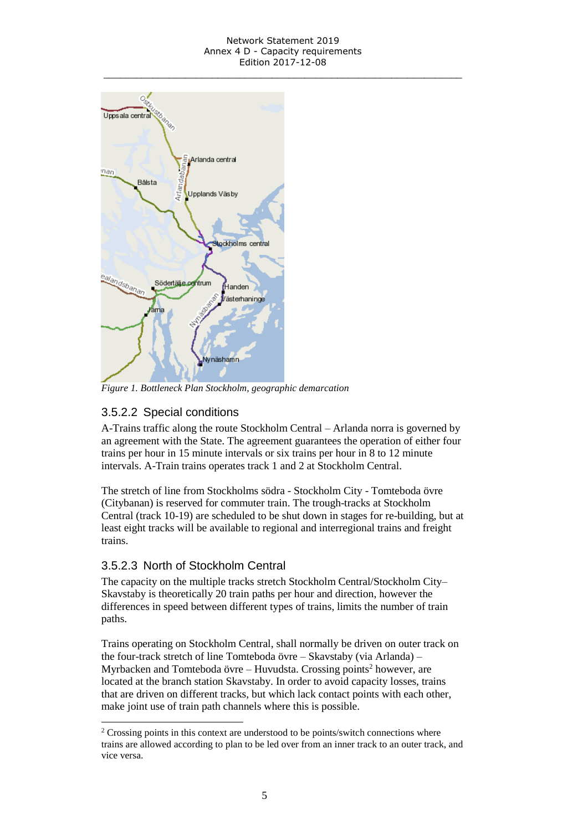#### Network Statement 2019 Annex 4 D - Capacity requirements Edition 2017-12-08 \_\_\_\_\_\_\_\_\_\_\_\_\_\_\_\_\_\_\_\_\_\_\_\_\_\_\_\_\_\_\_\_\_\_\_\_\_\_\_\_\_\_\_\_\_\_\_\_\_\_\_\_\_\_\_\_\_\_\_\_\_\_\_\_\_\_



*Figure 1. Bottleneck Plan Stockholm, geographic demarcation*

# 3.5.2.2 Special conditions

A-Trains traffic along the route Stockholm Central – Arlanda norra is governed by an agreement with the State. The agreement guarantees the operation of either four trains per hour in 15 minute intervals or six trains per hour in 8 to 12 minute intervals. A-Train trains operates track 1 and 2 at Stockholm Central.

The stretch of line from Stockholms södra - Stockholm City - Tomteboda övre (Citybanan) is reserved for commuter train. The trough-tracks at Stockholm Central (track 10-19) are scheduled to be shut down in stages for re-building, but at least eight tracks will be available to regional and interregional trains and freight trains.

## 3.5.2.3 North of Stockholm Central

l

The capacity on the multiple tracks stretch Stockholm Central/Stockholm City– Skavstaby is theoretically 20 train paths per hour and direction, however the differences in speed between different types of trains, limits the number of train paths.

Trains operating on Stockholm Central, shall normally be driven on outer track on the four-track stretch of line Tomteboda övre – Skavstaby (via Arlanda) – Myrbacken and Tomteboda övre – Huvudsta. Crossing points<sup>2</sup> however, are located at the branch station Skavstaby. In order to avoid capacity losses, trains that are driven on different tracks, but which lack contact points with each other, make joint use of train path channels where this is possible.

<sup>&</sup>lt;sup>2</sup> Crossing points in this context are understood to be points/switch connections where trains are allowed according to plan to be led over from an inner track to an outer track, and vice versa.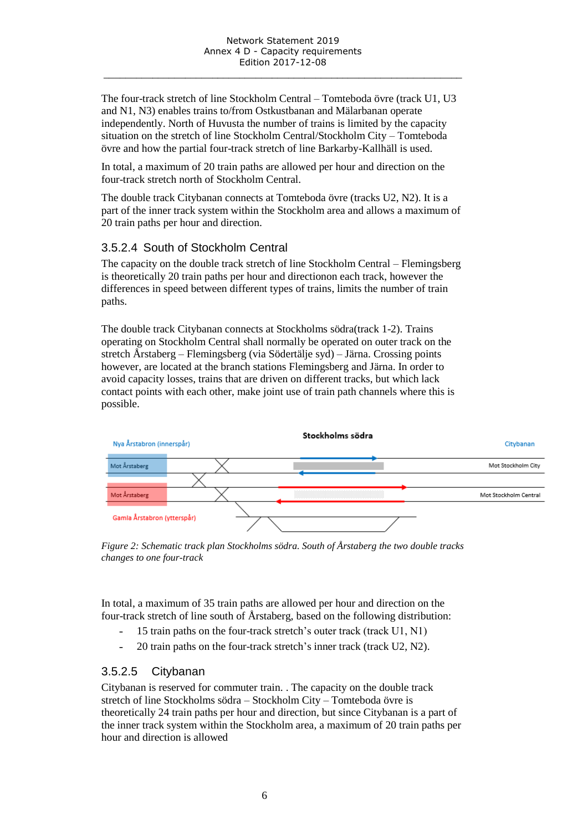The four-track stretch of line Stockholm Central – Tomteboda övre (track U1, U3 and N1, N3) enables trains to/from Ostkustbanan and Mälarbanan operate independently. North of Huvusta the number of trains is limited by the capacity situation on the stretch of line Stockholm Central/Stockholm City – Tomteboda övre and how the partial four-track stretch of line Barkarby-Kallhäll is used.

In total, a maximum of 20 train paths are allowed per hour and direction on the four-track stretch north of Stockholm Central.

The double track Citybanan connects at Tomteboda övre (tracks U2, N2). It is a part of the inner track system within the Stockholm area and allows a maximum of 20 train paths per hour and direction.

## 3.5.2.4 South of Stockholm Central

The capacity on the double track stretch of line Stockholm Central – Flemingsberg is theoretically 20 train paths per hour and directionon each track, however the differences in speed between different types of trains, limits the number of train paths.

The double track Citybanan connects at Stockholms södra(track 1-2). Trains operating on Stockholm Central shall normally be operated on outer track on the stretch Årstaberg – Flemingsberg (via Södertälje syd) – Järna. Crossing points however, are located at the branch stations Flemingsberg and Järna. In order to avoid capacity losses, trains that are driven on different tracks, but which lack contact points with each other, make joint use of train path channels where this is possible.



*Figure 2: Schematic track plan Stockholms södra. South of Årstaberg the two double tracks changes to one four-track*

In total, a maximum of 35 train paths are allowed per hour and direction on the four-track stretch of line south of Årstaberg*,* based on the following distribution:

- 15 train paths on the four-track stretch's outer track (track U1, N1)
- 20 train paths on the four-track stretch's inner track (track U2, N2).

## 3.5.2.5 Citybanan

Citybanan is reserved for commuter train. . The capacity on the double track stretch of line Stockholms södra – Stockholm City – Tomteboda övre is theoretically 24 train paths per hour and direction, but since Citybanan is a part of the inner track system within the Stockholm area, a maximum of 20 train paths per hour and direction is allowed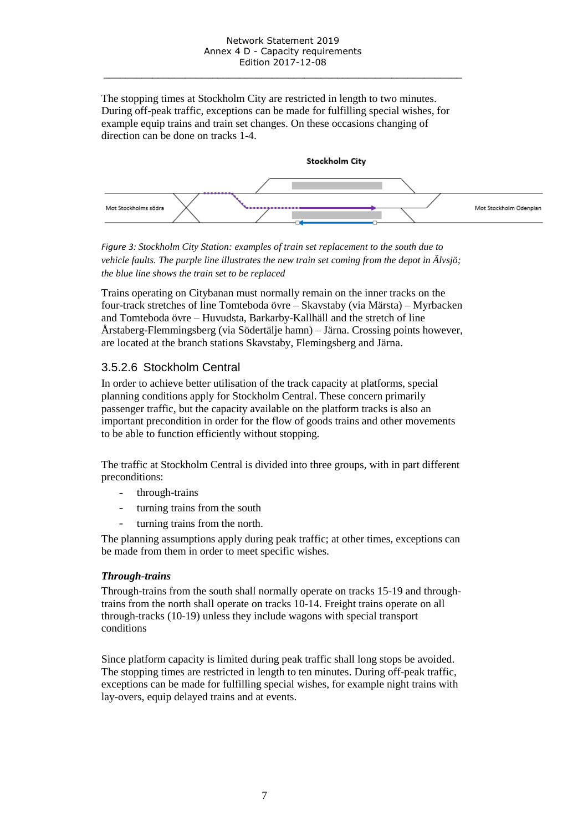The stopping times at Stockholm City are restricted in length to two minutes. During off-peak traffic, exceptions can be made for fulfilling special wishes, for example equip trains and train set changes. On these occasions changing of direction can be done on tracks 1-4.



*Figure 3: Stockholm City Station: examples of train set replacement to the south due to vehicle faults. The purple line illustrates the new train set coming from the depot in Älvsjö; the blue line shows the train set to be replaced*

Trains operating on Citybanan must normally remain on the inner tracks on the four-track stretches of line Tomteboda övre – Skavstaby (via Märsta) – Myrbacken and Tomteboda övre – Huvudsta, Barkarby-Kallhäll and the stretch of line Årstaberg-Flemmingsberg (via Södertälje hamn) – Järna. Crossing points however, are located at the branch stations Skavstaby, Flemingsberg and Järna.

## 3.5.2.6 Stockholm Central

In order to achieve better utilisation of the track capacity at platforms, special planning conditions apply for Stockholm Central. These concern primarily passenger traffic, but the capacity available on the platform tracks is also an important precondition in order for the flow of goods trains and other movements to be able to function efficiently without stopping.

The traffic at Stockholm Central is divided into three groups, with in part different preconditions:

- through-trains
- turning trains from the south
- turning trains from the north.

The planning assumptions apply during peak traffic; at other times, exceptions can be made from them in order to meet specific wishes.

#### *Through-trains*

Through-trains from the south shall normally operate on tracks 15-19 and throughtrains from the north shall operate on tracks 10-14. Freight trains operate on all through-tracks (10-19) unless they include wagons with special transport conditions

Since platform capacity is limited during peak traffic shall long stops be avoided. The stopping times are restricted in length to ten minutes. During off-peak traffic, exceptions can be made for fulfilling special wishes, for example night trains with lay-overs, equip delayed trains and at events.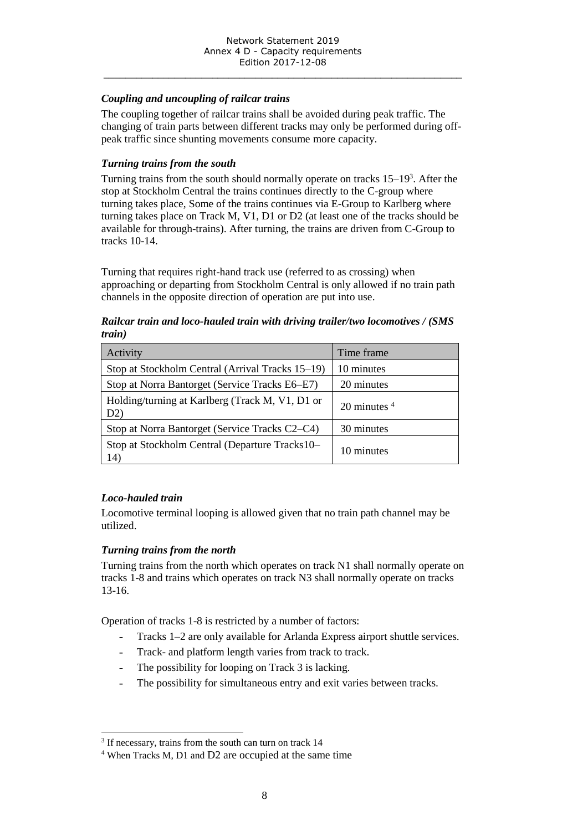#### *Coupling and uncoupling of railcar trains*

The coupling together of railcar trains shall be avoided during peak traffic. The changing of train parts between different tracks may only be performed during offpeak traffic since shunting movements consume more capacity.

#### *Turning trains from the south*

Turning trains from the south should normally operate on tracks 15–19<sup>3</sup>. After the stop at Stockholm Central the trains continues directly to the C-group where turning takes place, Some of the trains continues via E-Group to Karlberg where turning takes place on Track M, V1, D1 or D2 (at least one of the tracks should be available for through-trains). After turning, the trains are driven from C-Group to tracks 10-14.

Turning that requires right-hand track use (referred to as crossing) when approaching or departing from Stockholm Central is only allowed if no train path channels in the opposite direction of operation are put into use.

#### *Railcar train and loco-hauled train with driving trailer/two locomotives / (SMS train)*

| Activity                                               | Time frame                 |
|--------------------------------------------------------|----------------------------|
| Stop at Stockholm Central (Arrival Tracks 15–19)       | 10 minutes                 |
| Stop at Norra Bantorget (Service Tracks E6–E7)         | 20 minutes                 |
| Holding/turning at Karlberg (Track M, V1, D1 or<br>D2) | 20 minutes $4\overline{ }$ |
| Stop at Norra Bantorget (Service Tracks C2–C4)         | 30 minutes                 |
| Stop at Stockholm Central (Departure Tracks10–<br>14)  | 10 minutes                 |

#### *Loco-hauled train*

Locomotive terminal looping is allowed given that no train path channel may be utilized.

#### *Turning trains from the north*

Turning trains from the north which operates on track N1 shall normally operate on tracks 1-8 and trains which operates on track N3 shall normally operate on tracks 13-16.

Operation of tracks 1-8 is restricted by a number of factors:

- Tracks 1–2 are only available for Arlanda Express airport shuttle services.
- Track- and platform length varies from track to track.
- The possibility for looping on Track 3 is lacking.
- The possibility for simultaneous entry and exit varies between tracks.

 $\overline{a}$ <sup>3</sup> If necessary, trains from the south can turn on track 14

<sup>4</sup> When Tracks M, D1 and D2 are occupied at the same time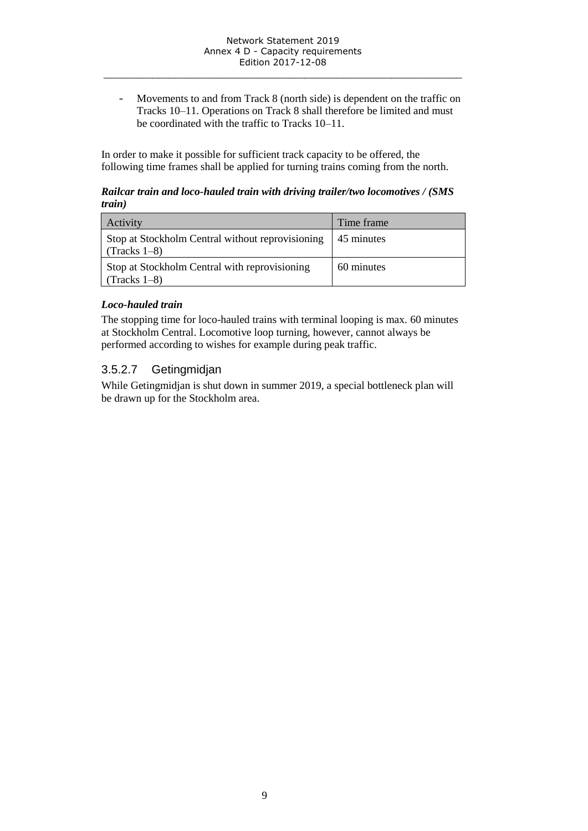- Movements to and from Track 8 (north side) is dependent on the traffic on Tracks 10–11. Operations on Track 8 shall therefore be limited and must be coordinated with the traffic to Tracks 10–11.

In order to make it possible for sufficient track capacity to be offered, the following time frames shall be applied for turning trains coming from the north.

#### *Railcar train and loco-hauled train with driving trailer/two locomotives / (SMS train)*

| Activity                                                           | Time frame |
|--------------------------------------------------------------------|------------|
| Stop at Stockholm Central without reprovisioning<br>$(Tracks 1-8)$ | 45 minutes |
| Stop at Stockholm Central with reprovisioning<br>$(Tracks 1-8)$    | 60 minutes |

### *Loco-hauled train*

The stopping time for loco-hauled trains with terminal looping is max. 60 minutes at Stockholm Central. Locomotive loop turning, however, cannot always be performed according to wishes for example during peak traffic.

# 3.5.2.7 Getingmidjan

While Getingmidjan is shut down in summer 2019, a special bottleneck plan will be drawn up for the Stockholm area.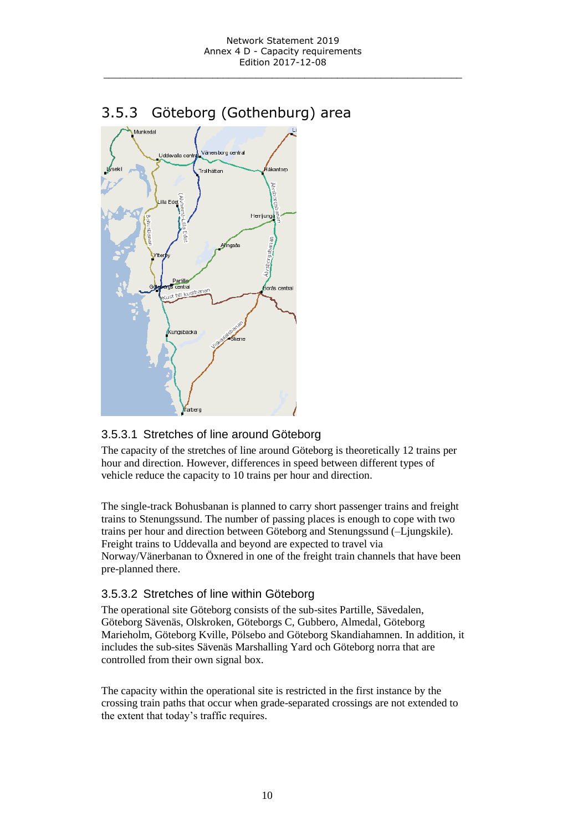<span id="page-9-0"></span>3.5.3 Göteborg (Gothenburg) area



## 3.5.3.1 Stretches of line around Göteborg

The capacity of the stretches of line around Göteborg is theoretically 12 trains per hour and direction. However, differences in speed between different types of vehicle reduce the capacity to 10 trains per hour and direction.

The single-track Bohusbanan is planned to carry short passenger trains and freight trains to Stenungssund. The number of passing places is enough to cope with two trains per hour and direction between Göteborg and Stenungssund (–Ljungskile). Freight trains to Uddevalla and beyond are expected to travel via Norway/Vänerbanan to Öxnered in one of the freight train channels that have been pre-planned there.

## 3.5.3.2 Stretches of line within Göteborg

The operational site Göteborg consists of the sub-sites Partille, Sävedalen, Göteborg Sävenäs, Olskroken, Göteborgs C, Gubbero, Almedal, Göteborg Marieholm, Göteborg Kville, Pölsebo and Göteborg Skandiahamnen. In addition, it includes the sub-sites Sävenäs Marshalling Yard och Göteborg norra that are controlled from their own signal box.

The capacity within the operational site is restricted in the first instance by the crossing train paths that occur when grade-separated crossings are not extended to the extent that today's traffic requires.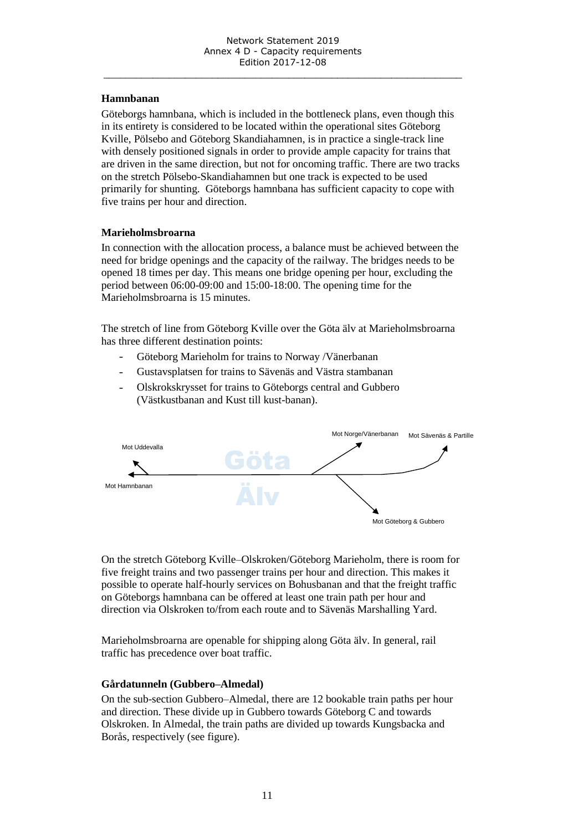#### **Hamnbanan**

Göteborgs hamnbana, which is included in the bottleneck plans, even though this in its entirety is considered to be located within the operational sites Göteborg Kville, Pölsebo and Göteborg Skandiahamnen, is in practice a single-track line with densely positioned signals in order to provide ample capacity for trains that are driven in the same direction, but not for oncoming traffic. There are two tracks on the stretch Pölsebo-Skandiahamnen but one track is expected to be used primarily for shunting. Göteborgs hamnbana has sufficient capacity to cope with five trains per hour and direction.

#### **Marieholmsbroarna**

In connection with the allocation process, a balance must be achieved between the need for bridge openings and the capacity of the railway. The bridges needs to be opened 18 times per day. This means one bridge opening per hour, excluding the period between 06:00-09:00 and 15:00-18:00. The opening time for the Marieholmsbroarna is 15 minutes.

The stretch of line from Göteborg Kville over the Göta älv at Marieholmsbroarna has three different destination points:

- Göteborg Marieholm for trains to Norway /Vänerbanan
- Gustavsplatsen for trains to Sävenäs and Västra stambanan
- Olskrokskrysset for trains to Göteborgs central and Gubbero (Västkustbanan and Kust till kust-banan).



On the stretch Göteborg Kville–Olskroken/Göteborg Marieholm, there is room for five freight trains and two passenger trains per hour and direction. This makes it possible to operate half-hourly services on Bohusbanan and that the freight traffic on Göteborgs hamnbana can be offered at least one train path per hour and direction via Olskroken to/from each route and to Sävenäs Marshalling Yard.

Marieholmsbroarna are openable for shipping along Göta älv. In general, rail traffic has precedence over boat traffic.

#### **Gårdatunneln (Gubbero–Almedal)**

On the sub-section Gubbero–Almedal, there are 12 bookable train paths per hour and direction. These divide up in Gubbero towards Göteborg C and towards Olskroken. In Almedal, the train paths are divided up towards Kungsbacka and Borås, respectively (see figure).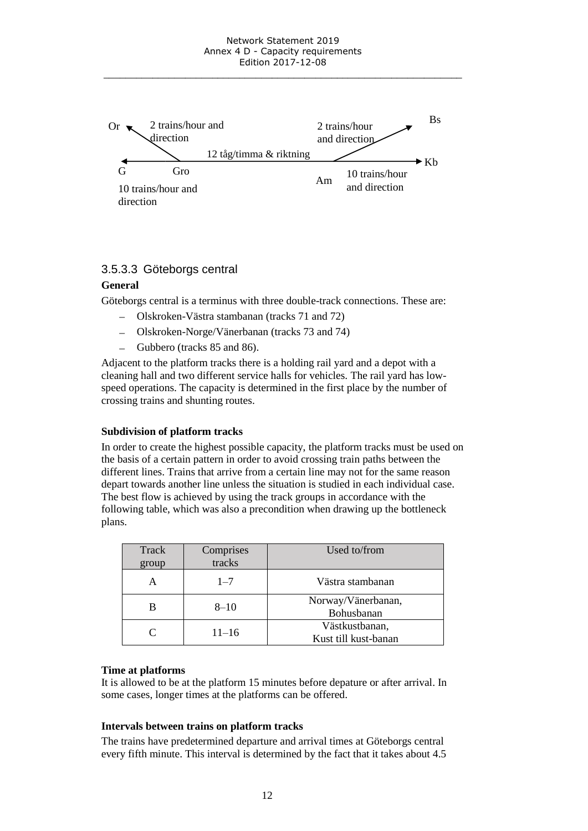

#### 3.5.3.3 Göteborgs central

#### **General**

Göteborgs central is a terminus with three double-track connections. These are:

- Olskroken-Västra stambanan (tracks 71 and 72)
- Olskroken-Norge/Vänerbanan (tracks 73 and 74)
- Gubbero (tracks 85 and 86).

Adjacent to the platform tracks there is a holding rail yard and a depot with a cleaning hall and two different service halls for vehicles. The rail yard has lowspeed operations. The capacity is determined in the first place by the number of crossing trains and shunting routes.

#### **Subdivision of platform tracks**

In order to create the highest possible capacity, the platform tracks must be used on the basis of a certain pattern in order to avoid crossing train paths between the different lines. Trains that arrive from a certain line may not for the same reason depart towards another line unless the situation is studied in each individual case. The best flow is achieved by using the track groups in accordance with the following table, which was also a precondition when drawing up the bottleneck plans.

| Track<br>group | Comprises<br>tracks | Used to/from                           |
|----------------|---------------------|----------------------------------------|
|                | $1 - 7$             | Västra stambanan                       |
|                | $8 - 10$            | Norway/Vänerbanan,<br>Bohusbanan       |
| $\subset$      | $11 - 16$           | Västkustbanan,<br>Kust till kust-banan |

#### **Time at platforms**

It is allowed to be at the platform 15 minutes before depature or after arrival. In some cases, longer times at the platforms can be offered.

#### **Intervals between trains on platform tracks**

The trains have predetermined departure and arrival times at Göteborgs central every fifth minute. This interval is determined by the fact that it takes about 4.5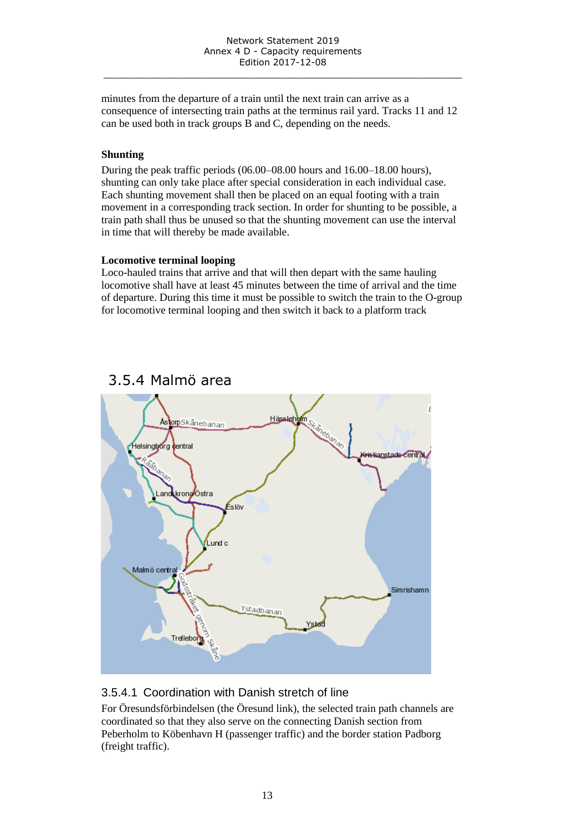minutes from the departure of a train until the next train can arrive as a consequence of intersecting train paths at the terminus rail yard. Tracks 11 and 12 can be used both in track groups B and C, depending on the needs.

#### **Shunting**

During the peak traffic periods (06.00–08.00 hours and 16.00–18.00 hours), shunting can only take place after special consideration in each individual case. Each shunting movement shall then be placed on an equal footing with a train movement in a corresponding track section. In order for shunting to be possible, a train path shall thus be unused so that the shunting movement can use the interval in time that will thereby be made available.

#### **Locomotive terminal looping**

Loco-hauled trains that arrive and that will then depart with the same hauling locomotive shall have at least 45 minutes between the time of arrival and the time of departure. During this time it must be possible to switch the train to the O-group for locomotive terminal looping and then switch it back to a platform track



# <span id="page-12-0"></span>3.5.4 Malmö area

## 3.5.4.1 Coordination with Danish stretch of line

For Öresundsförbindelsen (the Öresund link), the selected train path channels are coordinated so that they also serve on the connecting Danish section from Peberholm to Köbenhavn H (passenger traffic) and the border station Padborg (freight traffic).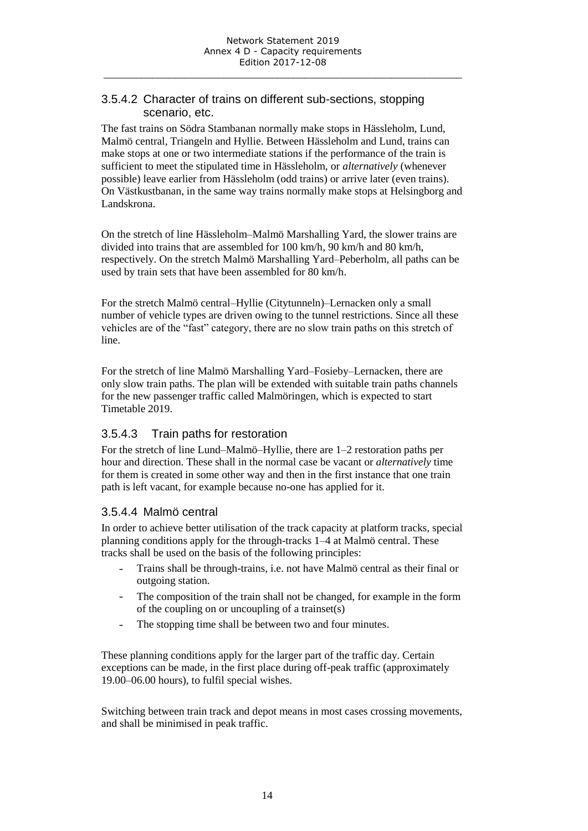### 3.5.4.2 Character of trains on different sub-sections, stopping scenario, etc.

The fast trains on Södra Stambanan normally make stops in Hässleholm, Lund, Malmö central, Triangeln and Hyllie. Between Hässleholm and Lund, trains can make stops at one or two intermediate stations if the performance of the train is sufficient to meet the stipulated time in Hässleholm, or *alternatively* (whenever possible) leave earlier from Hässleholm (odd trains) or arrive later (even trains). On Västkustbanan, in the same way trains normally make stops at Helsingborg and Landskrona.

On the stretch of line Hässleholm–Malmö Marshalling Yard, the slower trains are divided into trains that are assembled for 100 km/h, 90 km/h and 80 km/h, respectively. On the stretch Malmö Marshalling Yard–Peberholm, all paths can be used by train sets that have been assembled for 80 km/h.

For the stretch Malmö central–Hyllie (Citytunneln)–Lernacken only a small number of vehicle types are driven owing to the tunnel restrictions. Since all these vehicles are of the "fast" category, there are no slow train paths on this stretch of line.

For the stretch of line Malmö Marshalling Yard–Fosieby–Lernacken, there are only slow train paths. The plan will be extended with suitable train paths channels for the new passenger traffic called Malmöringen, which is expected to start Timetable 2019.

## 3.5.4.3 Train paths for restoration

For the stretch of line Lund–Malmö–Hyllie, there are 1–2 restoration paths per hour and direction. These shall in the normal case be vacant or *alternatively* time for them is created in some other way and then in the first instance that one train path is left vacant, for example because no-one has applied for it.

## 3.5.4.4 Malmö central

In order to achieve better utilisation of the track capacity at platform tracks, special planning conditions apply for the through-tracks 1–4 at Malmö central. These tracks shall be used on the basis of the following principles:

- Trains shall be through-trains, i.e. not have Malmö central as their final or outgoing station.
- The composition of the train shall not be changed, for example in the form of the coupling on or uncoupling of a trainset(s)
- The stopping time shall be between two and four minutes.

These planning conditions apply for the larger part of the traffic day. Certain exceptions can be made, in the first place during off-peak traffic (approximately 19.00–06.00 hours), to fulfil special wishes.

Switching between train track and depot means in most cases crossing movements, and shall be minimised in peak traffic.